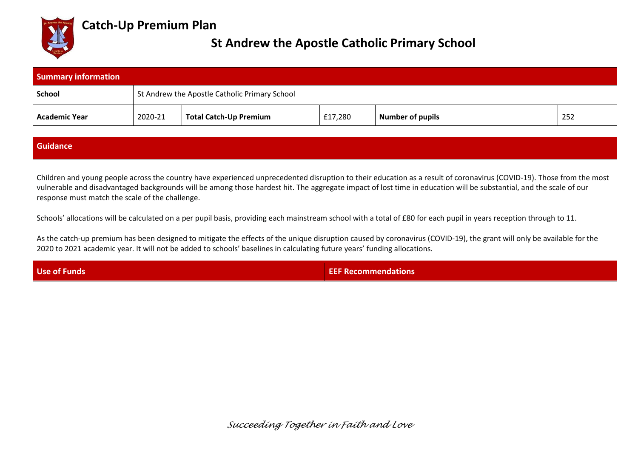

# **Catch-Up Premium Plan**

# **St Andrew the Apostle Catholic Primary School**

| <b>Summary information</b> |                                               |                               |         |                         |     |
|----------------------------|-----------------------------------------------|-------------------------------|---------|-------------------------|-----|
| <b>School</b>              | St Andrew the Apostle Catholic Primary School |                               |         |                         |     |
| <b>Academic Year</b>       | 2020-21                                       | <b>Total Catch-Up Premium</b> | £17,280 | <b>Number of pupils</b> | 252 |

### **Guidance**

Children and young people across the country have experienced unprecedented disruption to their education as a result of coronavirus (COVID-19). Those from the most vulnerable and disadvantaged backgrounds will be among those hardest hit. The aggregate impact of lost time in education will be substantial, and the scale of our response must match the scale of the challenge.

Schools' allocations will be calculated on a per pupil basis, providing each mainstream school with a total of £80 for each pupil in years reception through to 11.

As the catch-up premium has been designed to mitigate the effects of the unique disruption caused by coronavirus (COVID-19), the grant will only be available for the 2020 to 2021 academic year. It will not be added to schools' baselines in calculating future years' funding allocations.

**Use of Funds EEF Recommendations** 

*Succeeding Together in Faith and Love*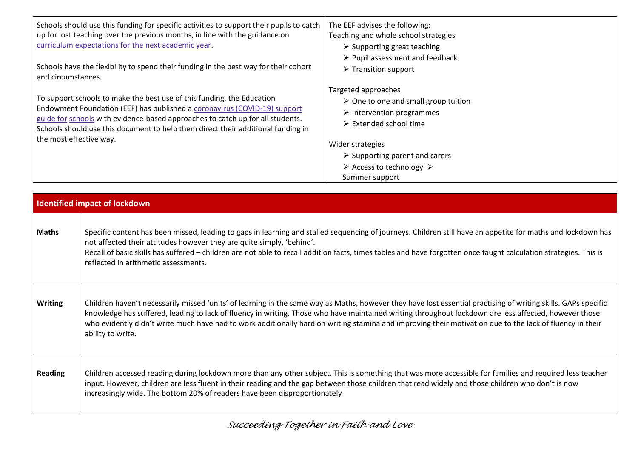| Schools should use this funding for specific activities to support their pupils to catch<br>up for lost teaching over the previous months, in line with the guidance on<br>curriculum expectations for the next academic year.                                                                                            | The EEF advises the following:<br>Teaching and whole school strategies<br>$\triangleright$ Supporting great teaching                                            |
|---------------------------------------------------------------------------------------------------------------------------------------------------------------------------------------------------------------------------------------------------------------------------------------------------------------------------|-----------------------------------------------------------------------------------------------------------------------------------------------------------------|
| Schools have the flexibility to spend their funding in the best way for their cohort<br>and circumstances.                                                                                                                                                                                                                | $\triangleright$ Pupil assessment and feedback<br>$\triangleright$ Transition support                                                                           |
| To support schools to make the best use of this funding, the Education<br>Endowment Foundation (EEF) has published a coronavirus (COVID-19) support<br>guide for schools with evidence-based approaches to catch up for all students.<br>Schools should use this document to help them direct their additional funding in | Targeted approaches<br>$\triangleright$ One to one and small group tuition<br>$\triangleright$ Intervention programmes<br>$\triangleright$ Extended school time |
| the most effective way.                                                                                                                                                                                                                                                                                                   | Wider strategies                                                                                                                                                |
|                                                                                                                                                                                                                                                                                                                           | $\triangleright$ Supporting parent and carers                                                                                                                   |
|                                                                                                                                                                                                                                                                                                                           | $\triangleright$ Access to technology $\triangleright$                                                                                                          |
|                                                                                                                                                                                                                                                                                                                           | Summer support                                                                                                                                                  |

|                | <b>Identified impact of lockdown</b>                                                                                                                                                                                                                                                                                                                                                                                                                                                                     |
|----------------|----------------------------------------------------------------------------------------------------------------------------------------------------------------------------------------------------------------------------------------------------------------------------------------------------------------------------------------------------------------------------------------------------------------------------------------------------------------------------------------------------------|
| <b>Maths</b>   | Specific content has been missed, leading to gaps in learning and stalled sequencing of journeys. Children still have an appetite for maths and lockdown has<br>not affected their attitudes however they are quite simply, 'behind'.<br>Recall of basic skills has suffered - children are not able to recall addition facts, times tables and have forgotten once taught calculation strategies. This is<br>reflected in arithmetic assessments.                                                       |
| <b>Writing</b> | Children haven't necessarily missed 'units' of learning in the same way as Maths, however they have lost essential practising of writing skills. GAPs specific<br>knowledge has suffered, leading to lack of fluency in writing. Those who have maintained writing throughout lockdown are less affected, however those<br>who evidently didn't write much have had to work additionally hard on writing stamina and improving their motivation due to the lack of fluency in their<br>ability to write. |
| <b>Reading</b> | Children accessed reading during lockdown more than any other subject. This is something that was more accessible for families and required less teacher<br>input. However, children are less fluent in their reading and the gap between those children that read widely and those children who don't is now<br>increasingly wide. The bottom 20% of readers have been disproportionately                                                                                                               |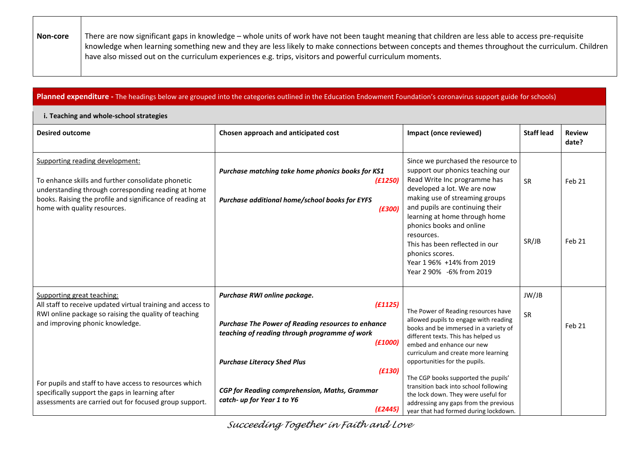| Non-core | There are now significant gaps in knowledge – whole units of work have not been taught meaning that children are less able to access pre-requisite |
|----------|----------------------------------------------------------------------------------------------------------------------------------------------------|
|          | knowledge when learning something new and they are less likely to make connections between concepts and themes throughout the curriculum. Children |
|          | have also missed out on the curriculum experiences e.g. trips, visitors and powerful curriculum moments.                                           |

### Planned expenditure - The headings below are grouped into the categories outlined in the Education Endowment Foundation's coronavirus support guide for schools)

#### **i. Teaching and whole-school strategies**

| <b>Desired outcome</b>                                                                                                                                                                                                                    | Chosen approach and anticipated cost                                                                                             | Impact (once reviewed)                                                                                                                                                                                                                      | <b>Staff lead</b> | <b>Review</b><br>date? |
|-------------------------------------------------------------------------------------------------------------------------------------------------------------------------------------------------------------------------------------------|----------------------------------------------------------------------------------------------------------------------------------|---------------------------------------------------------------------------------------------------------------------------------------------------------------------------------------------------------------------------------------------|-------------------|------------------------|
| Supporting reading development:<br>To enhance skills and further consolidate phonetic<br>understanding through corresponding reading at home<br>books. Raising the profile and significance of reading at<br>home with quality resources. | Purchase matching take home phonics books for KS1<br>(E1250)<br>Purchase additional home/school books for EYFS<br>(E300)         | Since we purchased the resource to<br>support our phonics teaching our<br>Read Write Inc programme has<br>developed a lot. We are now<br>making use of streaming groups<br>and pupils are continuing their<br>learning at home through home | <b>SR</b>         | Feb 21                 |
|                                                                                                                                                                                                                                           |                                                                                                                                  | phonics books and online<br>resources.<br>This has been reflected in our<br>phonics scores.<br>Year 196% +14% from 2019<br>Year 2 90% -6% from 2019                                                                                         | SR/JB             | Feb 21                 |
| Supporting great teaching:                                                                                                                                                                                                                | Purchase RWI online package.                                                                                                     |                                                                                                                                                                                                                                             | JW/JB             |                        |
| All staff to receive updated virtual training and access to<br>RWI online package so raising the quality of teaching<br>and improving phonic knowledge.                                                                                   | (E1125)<br><b>Purchase The Power of Reading resources to enhance</b><br>teaching of reading through programme of work<br>(f1000) | The Power of Reading resources have<br>allowed pupils to engage with reading<br>books and be immersed in a variety of<br>different texts. This has helped us<br>embed and enhance our new                                                   | SR                | Feb 21                 |
|                                                                                                                                                                                                                                           | <b>Purchase Literacy Shed Plus</b>                                                                                               | curriculum and create more learning<br>opportunities for the pupils.                                                                                                                                                                        |                   |                        |
| For pupils and staff to have access to resources which<br>specifically support the gaps in learning after<br>assessments are carried out for focused group support.                                                                       | (E130)<br><b>CGP</b> for Reading comprehension, Maths, Grammar<br>catch- up for Year 1 to Y6<br>(E2445)                          | The CGP books supported the pupils'<br>transition back into school following<br>the lock down. They were useful for<br>addressing any gaps from the previous<br>year that had formed during lockdown.                                       |                   |                        |

*Succeeding Together in Faith and Love*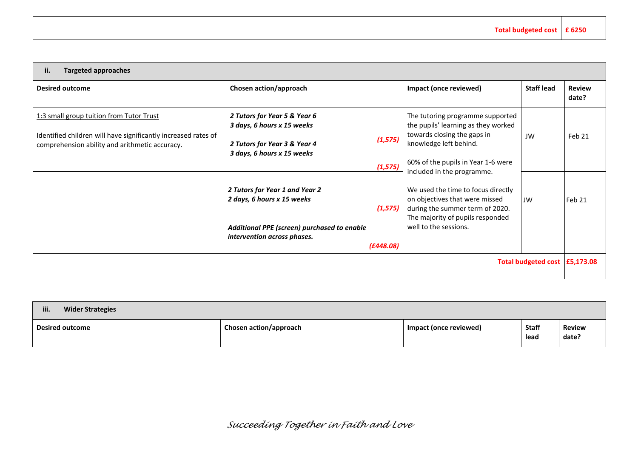| ii.<br><b>Targeted approaches</b>                                                                                                                            |                                                                                                                                                                                                                                                                                                                         |                                                                                                                                                                                                                                                                                                                                                                              |                   |                        |
|--------------------------------------------------------------------------------------------------------------------------------------------------------------|-------------------------------------------------------------------------------------------------------------------------------------------------------------------------------------------------------------------------------------------------------------------------------------------------------------------------|------------------------------------------------------------------------------------------------------------------------------------------------------------------------------------------------------------------------------------------------------------------------------------------------------------------------------------------------------------------------------|-------------------|------------------------|
| <b>Desired outcome</b>                                                                                                                                       | Chosen action/approach                                                                                                                                                                                                                                                                                                  | Impact (once reviewed)                                                                                                                                                                                                                                                                                                                                                       | <b>Staff lead</b> | <b>Review</b><br>date? |
| 1:3 small group tuition from Tutor Trust<br>Identified children will have significantly increased rates of<br>comprehension ability and arithmetic accuracy. | 2 Tutors for Year 5 & Year 6<br>3 days, 6 hours x 15 weeks<br>(1, 575)<br>2 Tutors for Year 3 & Year 4<br>3 days, 6 hours x 15 weeks<br>(1, 575)<br>2 Tutors for Year 1 and Year 2<br>2 days, 6 hours x 15 weeks<br>(1, 575)<br>Additional PPE (screen) purchased to enable<br>intervention across phases.<br>(E448.08) | The tutoring programme supported<br>the pupils' learning as they worked<br>towards closing the gaps in<br>knowledge left behind.<br>60% of the pupils in Year 1-6 were<br>included in the programme.<br>We used the time to focus directly<br>on objectives that were missed<br>during the summer term of 2020.<br>The majority of pupils responded<br>well to the sessions. | JW<br>JW          | Feb 21<br>Feb 21       |
| Total budgeted cost E5,173.08                                                                                                                                |                                                                                                                                                                                                                                                                                                                         |                                                                                                                                                                                                                                                                                                                                                                              |                   |                        |

| iii.<br><b>Wider Strategies</b> |                        |                        |                      |                        |
|---------------------------------|------------------------|------------------------|----------------------|------------------------|
| Desired outcome                 | Chosen action/approach | Impact (once reviewed) | <b>Staff</b><br>lead | <b>Review</b><br>date? |